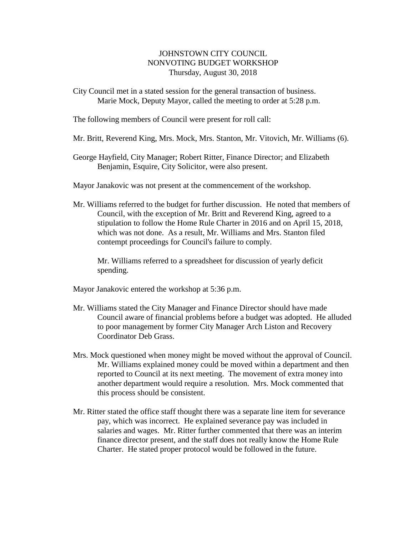## JOHNSTOWN CITY COUNCIL NONVOTING BUDGET WORKSHOP Thursday, August 30, 2018

City Council met in a stated session for the general transaction of business. Marie Mock, Deputy Mayor, called the meeting to order at 5:28 p.m.

The following members of Council were present for roll call:

Mr. Britt, Reverend King, Mrs. Mock, Mrs. Stanton, Mr. Vitovich, Mr. Williams (6).

George Hayfield, City Manager; Robert Ritter, Finance Director; and Elizabeth Benjamin, Esquire, City Solicitor, were also present.

Mayor Janakovic was not present at the commencement of the workshop.

Mr. Williams referred to the budget for further discussion. He noted that members of Council, with the exception of Mr. Britt and Reverend King, agreed to a stipulation to follow the Home Rule Charter in 2016 and on April 15, 2018, which was not done. As a result, Mr. Williams and Mrs. Stanton filed contempt proceedings for Council's failure to comply.

Mr. Williams referred to a spreadsheet for discussion of yearly deficit spending.

Mayor Janakovic entered the workshop at 5:36 p.m.

- Mr. Williams stated the City Manager and Finance Director should have made Council aware of financial problems before a budget was adopted. He alluded to poor management by former City Manager Arch Liston and Recovery Coordinator Deb Grass.
- Mrs. Mock questioned when money might be moved without the approval of Council. Mr. Williams explained money could be moved within a department and then reported to Council at its next meeting. The movement of extra money into another department would require a resolution. Mrs. Mock commented that this process should be consistent.
- Mr. Ritter stated the office staff thought there was a separate line item for severance pay, which was incorrect. He explained severance pay was included in salaries and wages. Mr. Ritter further commented that there was an interim finance director present, and the staff does not really know the Home Rule Charter. He stated proper protocol would be followed in the future.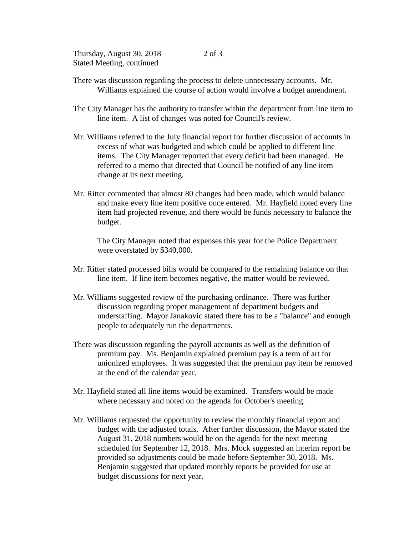Thursday, August 30, 2018 Stated Meeting, continued

- There was discussion regarding the process to delete unnecessary accounts. Mr. Williams explained the course of action would involve a budget amendment.
- The City Manager has the authority to transfer within the department from line item to line item. A list of changes was noted for Council's review.
- Mr. Williams referred to the July financial report for further discussion of accounts in excess of what was budgeted and which could be applied to different line items. The City Manager reported that every deficit had been managed. He referred to a memo that directed that Council be notified of any line item change at its next meeting.
- Mr. Ritter commented that almost 80 changes had been made, which would balance and make every line item positive once entered. Mr. Hayfield noted every line item had projected revenue, and there would be funds necessary to balance the budget.

The City Manager noted that expenses this year for the Police Department were overstated by \$340,000.

- Mr. Ritter stated processed bills would be compared to the remaining balance on that line item. If line item becomes negative, the matter would be reviewed.
- Mr. Williams suggested review of the purchasing ordinance. There was further discussion regarding proper management of department budgets and understaffing. Mayor Janakovic stated there has to be a "balance" and enough people to adequately run the departments.
- There was discussion regarding the payroll accounts as well as the definition of premium pay. Ms. Benjamin explained premium pay is a term of art for unionized employees. It was suggested that the premium pay item be removed at the end of the calendar year.
- Mr. Hayfield stated all line items would be examined. Transfers would be made where necessary and noted on the agenda for October's meeting.
- Mr. Williams requested the opportunity to review the monthly financial report and budget with the adjusted totals. After further discussion, the Mayor stated the August 31, 2018 numbers would be on the agenda for the next meeting scheduled for September 12, 2018. Mrs. Mock suggested an interim report be provided so adjustments could be made before September 30, 2018. Ms. Benjamin suggested that updated monthly reports be provided for use at budget discussions for next year.